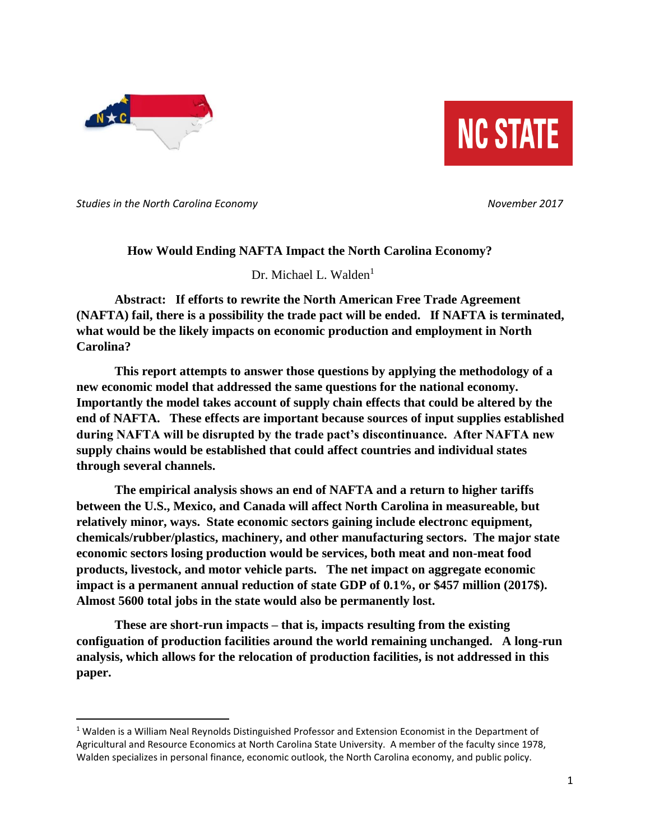

 $\overline{\phantom{a}}$ 



*Studies in the North Carolina Economy November 2017* 

## **How Would Ending NAFTA Impact the North Carolina Economy?**

Dr. Michael L. Walden<sup>1</sup>

**Abstract: If efforts to rewrite the North American Free Trade Agreement (NAFTA) fail, there is a possibility the trade pact will be ended. If NAFTA is terminated, what would be the likely impacts on economic production and employment in North Carolina?**

**This report attempts to answer those questions by applying the methodology of a new economic model that addressed the same questions for the national economy. Importantly the model takes account of supply chain effects that could be altered by the end of NAFTA. These effects are important because sources of input supplies established during NAFTA will be disrupted by the trade pact's discontinuance. After NAFTA new supply chains would be established that could affect countries and individual states through several channels.**

**The empirical analysis shows an end of NAFTA and a return to higher tariffs between the U.S., Mexico, and Canada will affect North Carolina in measureable, but relatively minor, ways. State economic sectors gaining include electronc equipment, chemicals/rubber/plastics, machinery, and other manufacturing sectors. The major state economic sectors losing production would be services, both meat and non-meat food products, livestock, and motor vehicle parts. The net impact on aggregate economic impact is a permanent annual reduction of state GDP of 0.1%, or \$457 million (2017\$). Almost 5600 total jobs in the state would also be permanently lost.**

**These are short-run impacts – that is, impacts resulting from the existing configuation of production facilities around the world remaining unchanged. A long-run analysis, which allows for the relocation of production facilities, is not addressed in this paper.**

<sup>&</sup>lt;sup>1</sup> Walden is a William Neal Reynolds Distinguished Professor and Extension Economist in the Department of Agricultural and Resource Economics at North Carolina State University. A member of the faculty since 1978, Walden specializes in personal finance, economic outlook, the North Carolina economy, and public policy.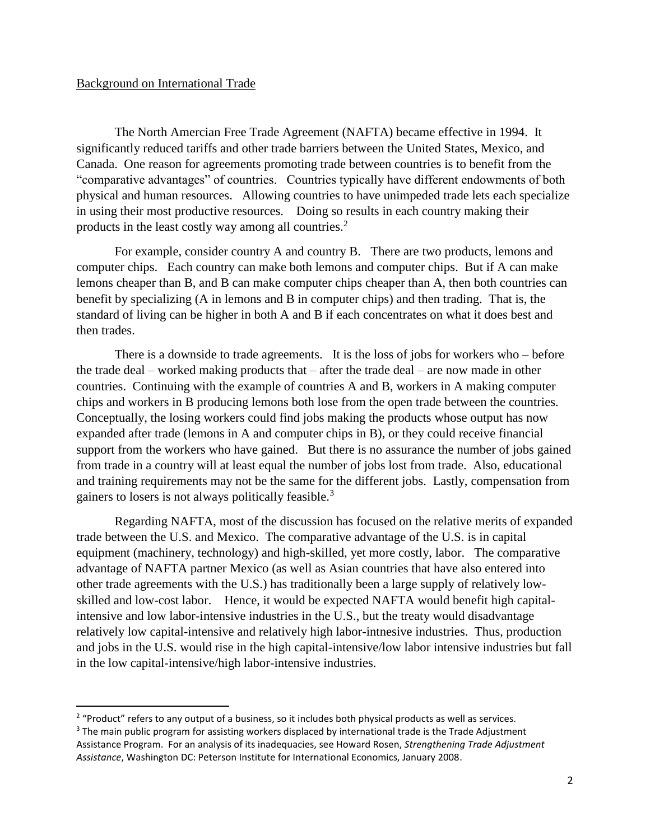#### Background on International Trade

 $\overline{a}$ 

The North Amercian Free Trade Agreement (NAFTA) became effective in 1994. It significantly reduced tariffs and other trade barriers between the United States, Mexico, and Canada. One reason for agreements promoting trade between countries is to benefit from the "comparative advantages" of countries. Countries typically have different endowments of both physical and human resources. Allowing countries to have unimpeded trade lets each specialize in using their most productive resources. Doing so results in each country making their products in the least costly way among all countries.<sup>2</sup>

For example, consider country A and country B. There are two products, lemons and computer chips. Each country can make both lemons and computer chips. But if A can make lemons cheaper than B, and B can make computer chips cheaper than A, then both countries can benefit by specializing (A in lemons and B in computer chips) and then trading. That is, the standard of living can be higher in both A and B if each concentrates on what it does best and then trades.

There is a downside to trade agreements. It is the loss of jobs for workers who – before the trade deal – worked making products that – after the trade deal – are now made in other countries. Continuing with the example of countries A and B, workers in A making computer chips and workers in B producing lemons both lose from the open trade between the countries. Conceptually, the losing workers could find jobs making the products whose output has now expanded after trade (lemons in A and computer chips in B), or they could receive financial support from the workers who have gained. But there is no assurance the number of jobs gained from trade in a country will at least equal the number of jobs lost from trade. Also, educational and training requirements may not be the same for the different jobs. Lastly, compensation from gainers to losers is not always politically feasible.<sup>3</sup>

Regarding NAFTA, most of the discussion has focused on the relative merits of expanded trade between the U.S. and Mexico. The comparative advantage of the U.S. is in capital equipment (machinery, technology) and high-skilled, yet more costly, labor. The comparative advantage of NAFTA partner Mexico (as well as Asian countries that have also entered into other trade agreements with the U.S.) has traditionally been a large supply of relatively lowskilled and low-cost labor. Hence, it would be expected NAFTA would benefit high capitalintensive and low labor-intensive industries in the U.S., but the treaty would disadvantage relatively low capital-intensive and relatively high labor-intnesive industries. Thus, production and jobs in the U.S. would rise in the high capital-intensive/low labor intensive industries but fall in the low capital-intensive/high labor-intensive industries.

 $2$  "Product" refers to any output of a business, so it includes both physical products as well as services.

 $3$  The main public program for assisting workers displaced by international trade is the Trade Adjustment Assistance Program. For an analysis of its inadequacies, see Howard Rosen, *Strengthening Trade Adjustment Assistance*, Washington DC: Peterson Institute for International Economics, January 2008.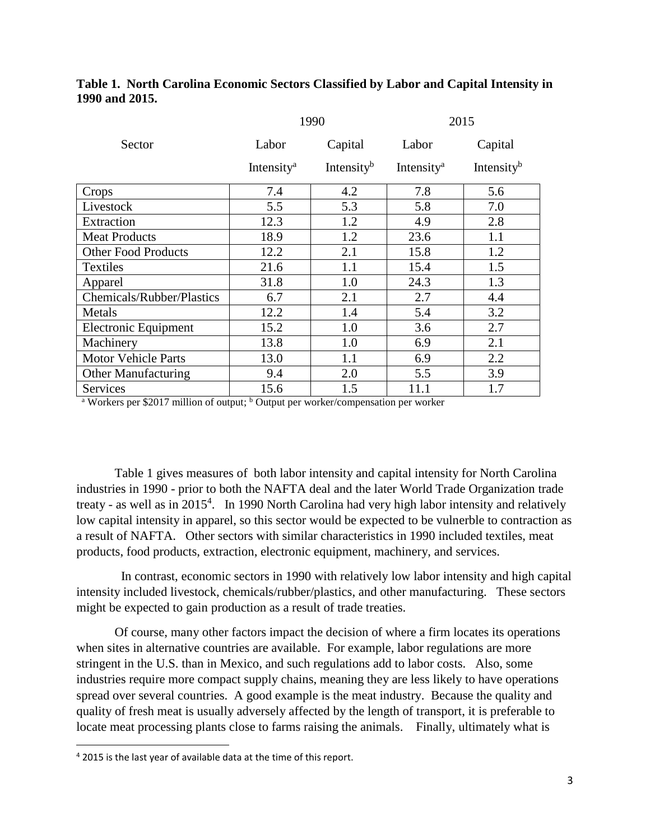# **Table 1. North Carolina Economic Sectors Classified by Labor and Capital Intensity in 1990 and 2015.**

|                             | 1990                   |                        | 2015                   |                        |
|-----------------------------|------------------------|------------------------|------------------------|------------------------|
| Sector                      | Labor                  | Capital                | Labor                  | Capital                |
|                             | Intensity <sup>a</sup> | Intensity <sup>b</sup> | Intensity <sup>a</sup> | Intensity <sup>b</sup> |
| Crops                       | 7.4                    | 4.2                    | 7.8                    | 5.6                    |
| Livestock                   | 5.5                    | 5.3                    | 5.8                    | 7.0                    |
| Extraction                  | 12.3                   | 1.2                    | 4.9                    | 2.8                    |
| <b>Meat Products</b>        | 18.9                   | 1.2                    | 23.6                   | 1.1                    |
| <b>Other Food Products</b>  | 12.2                   | 2.1                    | 15.8                   | 1.2                    |
| <b>Textiles</b>             | 21.6                   | 1.1                    | 15.4                   | 1.5                    |
| Apparel                     | 31.8                   | 1.0                    | 24.3                   | 1.3                    |
| Chemicals/Rubber/Plastics   | 6.7                    | 2.1                    | 2.7                    | 4.4                    |
| Metals                      | 12.2                   | 1.4                    | 5.4                    | 3.2                    |
| <b>Electronic Equipment</b> | 15.2                   | 1.0                    | 3.6                    | 2.7                    |
| Machinery                   | 13.8                   | 1.0                    | 6.9                    | 2.1                    |
| <b>Motor Vehicle Parts</b>  | 13.0                   | 1.1                    | 6.9                    | 2.2                    |
| <b>Other Manufacturing</b>  | 9.4                    | 2.0                    | 5.5                    | 3.9                    |
| <b>Services</b>             | 15.6                   | 1.5                    | 11.1                   | 1.7                    |

<sup>a</sup> Workers per \$2017 million of output; <sup>b</sup> Output per worker/compensation per worker

Table 1 gives measures of both labor intensity and capital intensity for North Carolina industries in 1990 - prior to both the NAFTA deal and the later World Trade Organization trade treaty - as well as in 2015<sup>4</sup>. In 1990 North Carolina had very high labor intensity and relatively low capital intensity in apparel, so this sector would be expected to be vulnerble to contraction as a result of NAFTA. Other sectors with similar characteristics in 1990 included textiles, meat products, food products, extraction, electronic equipment, machinery, and services.

 In contrast, economic sectors in 1990 with relatively low labor intensity and high capital intensity included livestock, chemicals/rubber/plastics, and other manufacturing. These sectors might be expected to gain production as a result of trade treaties.

Of course, many other factors impact the decision of where a firm locates its operations when sites in alternative countries are available. For example, labor regulations are more stringent in the U.S. than in Mexico, and such regulations add to labor costs. Also, some industries require more compact supply chains, meaning they are less likely to have operations spread over several countries. A good example is the meat industry. Because the quality and quality of fresh meat is usually adversely affected by the length of transport, it is preferable to locate meat processing plants close to farms raising the animals. Finally, ultimately what is

 $\overline{\phantom{a}}$ 

<sup>&</sup>lt;sup>4</sup> 2015 is the last year of available data at the time of this report.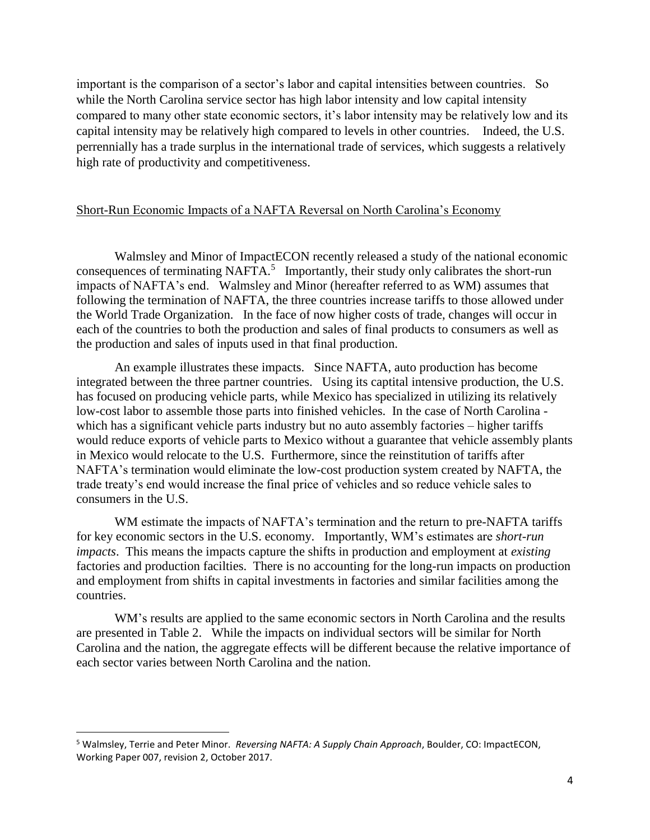important is the comparison of a sector's labor and capital intensities between countries. So while the North Carolina service sector has high labor intensity and low capital intensity compared to many other state economic sectors, it's labor intensity may be relatively low and its capital intensity may be relatively high compared to levels in other countries. Indeed, the U.S. perrennially has a trade surplus in the international trade of services, which suggests a relatively high rate of productivity and competitiveness.

### Short-Run Economic Impacts of a NAFTA Reversal on North Carolina's Economy

Walmsley and Minor of ImpactECON recently released a study of the national economic consequences of terminating NAFTA.<sup>5</sup> Importantly, their study only calibrates the short-run impacts of NAFTA's end. Walmsley and Minor (hereafter referred to as WM) assumes that following the termination of NAFTA, the three countries increase tariffs to those allowed under the World Trade Organization. In the face of now higher costs of trade, changes will occur in each of the countries to both the production and sales of final products to consumers as well as the production and sales of inputs used in that final production.

An example illustrates these impacts. Since NAFTA, auto production has become integrated between the three partner countries. Using its captital intensive production, the U.S. has focused on producing vehicle parts, while Mexico has specialized in utilizing its relatively low-cost labor to assemble those parts into finished vehicles. In the case of North Carolina which has a significant vehicle parts industry but no auto assembly factories – higher tariffs would reduce exports of vehicle parts to Mexico without a guarantee that vehicle assembly plants in Mexico would relocate to the U.S. Furthermore, since the reinstitution of tariffs after NAFTA's termination would eliminate the low-cost production system created by NAFTA, the trade treaty's end would increase the final price of vehicles and so reduce vehicle sales to consumers in the U.S.

WM estimate the impacts of NAFTA's termination and the return to pre-NAFTA tariffs for key economic sectors in the U.S. economy. Importantly, WM's estimates are *short-run impacts*. This means the impacts capture the shifts in production and employment at *existing* factories and production facilties. There is no accounting for the long-run impacts on production and employment from shifts in capital investments in factories and similar facilities among the countries.

WM's results are applied to the same economic sectors in North Carolina and the results are presented in Table 2. While the impacts on individual sectors will be similar for North Carolina and the nation, the aggregate effects will be different because the relative importance of each sector varies between North Carolina and the nation.

l

<sup>5</sup> Walmsley, Terrie and Peter Minor. *Reversing NAFTA: A Supply Chain Approach*, Boulder, CO: ImpactECON, Working Paper 007, revision 2, October 2017.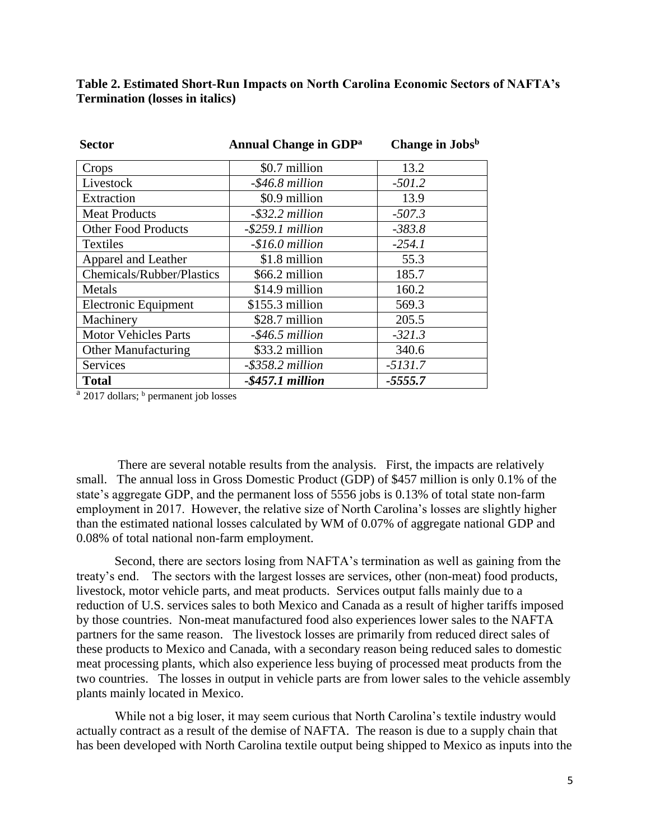| <b>Sector</b>              | <b>Annual Change in GDP</b> <sup>a</sup> | Change in Jobsb |  |
|----------------------------|------------------------------------------|-----------------|--|
| Crops                      | \$0.7 million                            | 13.2            |  |
| Livestock                  | $-$ \$46.8 million                       | $-501.2$        |  |
| Extraction                 | \$0.9 million                            | 13.9            |  |
| <b>Meat Products</b>       | $-$ \$32.2 million                       | $-507.3$        |  |
| <b>Other Food Products</b> | $-$ \$259.1 million                      | $-383.8$        |  |
| <b>Textiles</b>            | $-$16.0$ million                         | $-254.1$        |  |
| Apparel and Leather        | \$1.8 million                            | 55.3            |  |
| Chemicals/Rubber/Plastics  | \$66.2 million                           | 185.7           |  |
| Metals                     | \$14.9 million                           | 160.2           |  |
| Electronic Equipment       | $$155.3$ million                         | 569.3           |  |

Machinery 1 \$28.7 million 205.5 Motor Vehicles Parts *-\$46.5 million -321.3* Other Manufacturing  $\parallel$  \$33.2 million  $\parallel$  340.6 Services *-\$358.2 million -5131.7* **Total** *-\$457.1 million -5555.7*

**Table 2. Estimated Short-Run Impacts on North Carolina Economic Sectors of NAFTA's Termination (losses in italics)**

<sup>a</sup> 2017 dollars; <sup>b</sup> permanent job losses

There are several notable results from the analysis. First, the impacts are relatively small. The annual loss in Gross Domestic Product (GDP) of \$457 million is only 0.1% of the state's aggregate GDP, and the permanent loss of 5556 jobs is 0.13% of total state non-farm employment in 2017. However, the relative size of North Carolina's losses are slightly higher than the estimated national losses calculated by WM of 0.07% of aggregate national GDP and 0.08% of total national non-farm employment.

Second, there are sectors losing from NAFTA's termination as well as gaining from the treaty's end. The sectors with the largest losses are services, other (non-meat) food products, livestock, motor vehicle parts, and meat products. Services output falls mainly due to a reduction of U.S. services sales to both Mexico and Canada as a result of higher tariffs imposed by those countries. Non-meat manufactured food also experiences lower sales to the NAFTA partners for the same reason. The livestock losses are primarily from reduced direct sales of these products to Mexico and Canada, with a secondary reason being reduced sales to domestic meat processing plants, which also experience less buying of processed meat products from the two countries. The losses in output in vehicle parts are from lower sales to the vehicle assembly plants mainly located in Mexico.

While not a big loser, it may seem curious that North Carolina's textile industry would actually contract as a result of the demise of NAFTA. The reason is due to a supply chain that has been developed with North Carolina textile output being shipped to Mexico as inputs into the